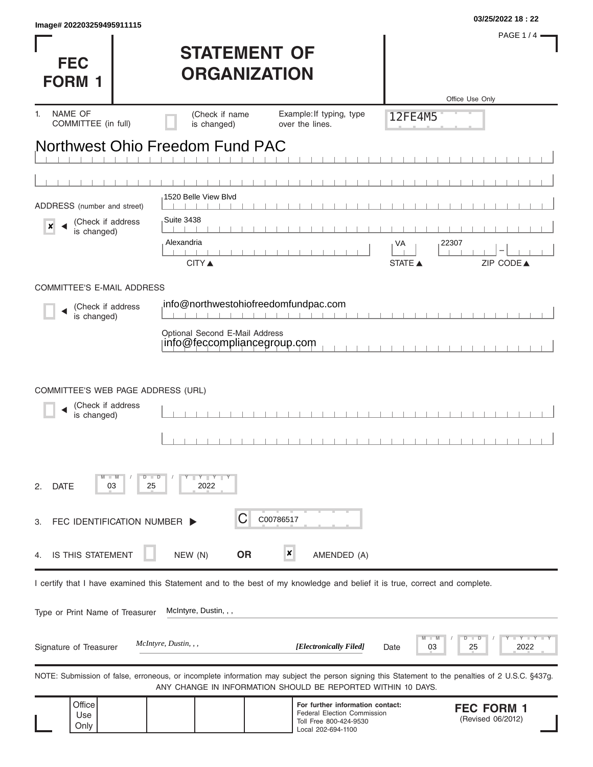| <b>FEC</b><br><b>FORM 1</b>                        | <b>STATEMENT OF</b><br><b>ORGANIZATION</b>                                                                                 | PAGE 1/4 -<br>Office Use Only                                                                                          |                                                                                                                                                   |
|----------------------------------------------------|----------------------------------------------------------------------------------------------------------------------------|------------------------------------------------------------------------------------------------------------------------|---------------------------------------------------------------------------------------------------------------------------------------------------|
| NAME OF<br>1.<br>COMMITTEE (in full)               | (Check if name<br>is changed)                                                                                              | Example: If typing, type<br>over the lines.                                                                            | 12FE4M5                                                                                                                                           |
|                                                    | Northwest Ohio Freedom Fund PAC                                                                                            |                                                                                                                        |                                                                                                                                                   |
| ADDRESS (number and street)                        | 1520 Belle View Blvd                                                                                                       |                                                                                                                        |                                                                                                                                                   |
| (Check if address<br>$\pmb{\times}$<br>is changed) | <b>Suite 3438</b><br>Alexandria<br><b>CITY</b> ▲                                                                           |                                                                                                                        | 22307<br>VA<br>ZIP CODE▲<br><b>STATE ▲</b>                                                                                                        |
| <b>COMMITTEE'S E-MAIL ADDRESS</b>                  |                                                                                                                            |                                                                                                                        |                                                                                                                                                   |
| (Check if address<br>is changed)                   | info@northwestohiofreedomfundpac.com                                                                                       |                                                                                                                        |                                                                                                                                                   |
|                                                    | Optional Second E-Mail Address<br>info@feccompliancegroup.com                                                              |                                                                                                                        |                                                                                                                                                   |
| (Check if address<br>is changed)                   |                                                                                                                            |                                                                                                                        |                                                                                                                                                   |
| $-W$<br><b>DATE</b><br>03<br>2.                    | $Y - Y - Y - Y$<br>$D$ $\Box$ $D$<br>25<br>2022                                                                            |                                                                                                                        |                                                                                                                                                   |
| FEC IDENTIFICATION NUMBER ><br>З.                  | С                                                                                                                          | C00786517                                                                                                              |                                                                                                                                                   |
| IS THIS STATEMENT<br>4.                            | <b>OR</b><br>NEW (N)                                                                                                       | ×<br>AMENDED (A)                                                                                                       |                                                                                                                                                   |
|                                                    | I certify that I have examined this Statement and to the best of my knowledge and belief it is true, correct and complete. |                                                                                                                        |                                                                                                                                                   |
| Type or Print Name of Treasurer                    | McIntyre, Dustin, , ,                                                                                                      |                                                                                                                        |                                                                                                                                                   |
| Signature of Treasurer                             | <i>McIntyre, Dustin, , ,</i>                                                                                               | [Electronically Filed]                                                                                                 | -M<br>D<br>$\Box$<br>Y TY<br>2022<br>03<br>25<br>Date                                                                                             |
|                                                    |                                                                                                                            | ANY CHANGE IN INFORMATION SHOULD BE REPORTED WITHIN 10 DAYS.                                                           | NOTE: Submission of false, erroneous, or incomplete information may subject the person signing this Statement to the penalties of 2 U.S.C. §437g. |
| Office<br>Use<br>Only                              |                                                                                                                            | For further information contact:<br><b>Federal Election Commission</b><br>Toll Free 800-424-9530<br>Local 202-694-1100 | <b>FEC FORM 1</b><br>(Revised 06/2012)                                                                                                            |

**03/25/2022 18 : 22 Image# 202203259495911115**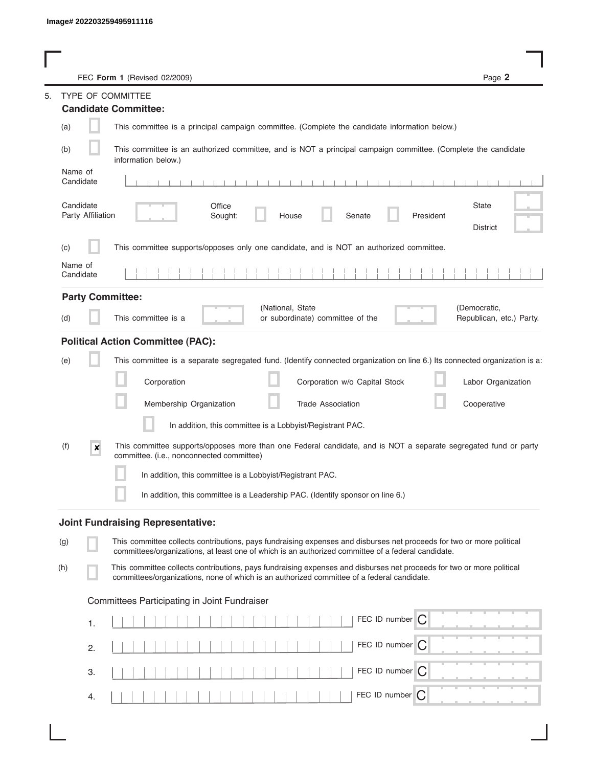|                                | Page 2<br>FEC Form 1 (Revised 02/2009)                                                                                                                                                                                      |
|--------------------------------|-----------------------------------------------------------------------------------------------------------------------------------------------------------------------------------------------------------------------------|
|                                | TYPE OF COMMITTEE                                                                                                                                                                                                           |
|                                | <b>Candidate Committee:</b>                                                                                                                                                                                                 |
| (a)                            | This committee is a principal campaign committee. (Complete the candidate information below.)                                                                                                                               |
| (b)                            | This committee is an authorized committee, and is NOT a principal campaign committee. (Complete the candidate<br>information below.)                                                                                        |
| Name of<br>Candidate           | $-1$ $-1$ $-1$<br>$1 - 1 - 1 - 1 - 1$                                                                                                                                                                                       |
| Candidate<br>Party Affiliation | <b>State</b><br>Office<br>Sought:<br>Senate<br>President<br>House<br><b>District</b>                                                                                                                                        |
| (c)                            | This committee supports/opposes only one candidate, and is NOT an authorized committee.                                                                                                                                     |
| Name of<br>Candidate           |                                                                                                                                                                                                                             |
| <b>Party Committee:</b>        |                                                                                                                                                                                                                             |
| (d)                            | (National, State<br>(Democratic,<br>This committee is a<br>or subordinate) committee of the<br>Republican, etc.) Party.                                                                                                     |
|                                | <b>Political Action Committee (PAC):</b>                                                                                                                                                                                    |
| (e)                            | This committee is a separate segregated fund. (Identify connected organization on line 6.) Its connected organization is a:                                                                                                 |
|                                | Corporation<br>Corporation w/o Capital Stock<br>Labor Organization                                                                                                                                                          |
|                                | Membership Organization<br><b>Trade Association</b><br>Cooperative                                                                                                                                                          |
|                                | In addition, this committee is a Lobbyist/Registrant PAC.                                                                                                                                                                   |
| (f)<br>$\boldsymbol{x}$        | This committee supports/opposes more than one Federal candidate, and is NOT a separate segregated fund or party<br>committee. (i.e., nonconnected committee)                                                                |
|                                | In addition, this committee is a Lobbyist/Registrant PAC.                                                                                                                                                                   |
|                                | In addition, this committee is a Leadership PAC. (Identify sponsor on line 6.)                                                                                                                                              |
|                                | <b>Joint Fundraising Representative:</b>                                                                                                                                                                                    |
| (g)                            | This committee collects contributions, pays fundraising expenses and disburses net proceeds for two or more political<br>committees/organizations, at least one of which is an authorized committee of a federal candidate. |
| (h)                            | This committee collects contributions, pays fundraising expenses and disburses net proceeds for two or more political<br>committees/organizations, none of which is an authorized committee of a federal candidate.         |
|                                | Committees Participating in Joint Fundraiser                                                                                                                                                                                |
| 1.                             | FEC ID number $\bigcap$                                                                                                                                                                                                     |
| 2.                             | FEC ID number $\bigcap$                                                                                                                                                                                                     |
| 3.                             | FEC ID number $\bigcap$                                                                                                                                                                                                     |
| 4.                             | FEC ID number<br>C                                                                                                                                                                                                          |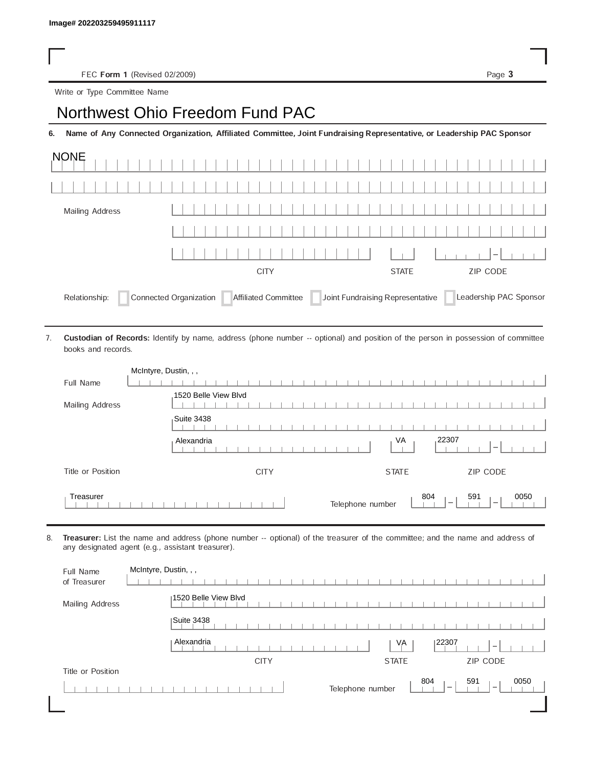FEC Form 1 (Revised 02/2009) Page 3

Write or Type Committee Name

## Image# 202203259495911117<br>
FEC Form 1 (Revised 02/2009)<br>
Write or Type Committee Name<br> **Northwest Ohio Freedom Fund PAC**

6. Name of Any Connected Organization, Affiliated Committee, Joint Fundraising Representative, or Leadership PAC Sponsor

| <b>NONE</b>     |                                                       |                                  |                        |
|-----------------|-------------------------------------------------------|----------------------------------|------------------------|
|                 |                                                       |                                  |                        |
| Mailing Address |                                                       |                                  |                        |
|                 |                                                       |                                  |                        |
|                 |                                                       |                                  | $\vert - \vert$        |
|                 | <b>CITY</b>                                           | <b>STATE</b>                     | <b>ZIP CODE</b>        |
| Relationship:   | Connected Organization<br><b>Affiliated Committee</b> | Joint Fundraising Representative | Leadership PAC Sponsor |

Custodian of Records: Identify by name, address (phone number -- optional) and position of the person in possession of committee books and records. 7.

|                   | McIntyre, Dustin, , ,                                                                          |
|-------------------|------------------------------------------------------------------------------------------------|
| Full Name         |                                                                                                |
| Mailing Address   | 1520 Belle View Blvd                                                                           |
|                   | Suite 3438                                                                                     |
|                   | .22307<br>VA<br>Alexandria<br>$\overline{\phantom{a}}$                                         |
| Title or Position | ZIP CODE<br><b>CITY</b><br><b>STATE</b>                                                        |
| Treasurer         | 804<br>591<br>0050<br>Telephone number<br>$\overline{\phantom{a}}$<br>$\overline{\phantom{a}}$ |

8. Treasurer: List the name and address (phone number -- optional) of the treasurer of the committee; and the name and address of any designated agent (e.g., assistant treasurer).

| Full Name<br>of Treasurer | McIntyre, Dustin, , ,                                  |
|---------------------------|--------------------------------------------------------|
| Mailing Address           | 1520 Belle View Blvd                                   |
|                           | Suite 3438                                             |
|                           | Alexandria<br> 22307<br>VA<br>$\overline{\phantom{a}}$ |
|                           | ZIP CODE<br><b>CITY</b><br><b>STATE</b>                |
| Title or Position         |                                                        |
|                           | 804<br>591<br>0050                                     |